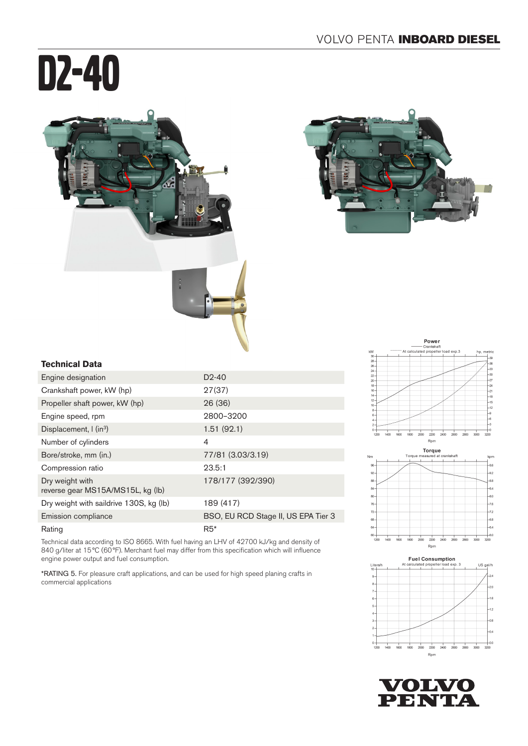# D2-40





### **Technical Data**

| Engine designation                                   | $D2-40$                             |
|------------------------------------------------------|-------------------------------------|
| Crankshaft power, kW (hp)                            | 27(37)                              |
| Propeller shaft power, kW (hp)                       | 26(36)                              |
| Engine speed, rpm                                    | 2800-3200                           |
| Displacement, $\int$ (in <sup>3</sup> )              | 1.51(92.1)                          |
| Number of cylinders                                  | 4                                   |
| Bore/stroke, mm (in.)                                | 77/81 (3.03/3.19)                   |
| Compression ratio                                    | 23.5:1                              |
| Dry weight with<br>reverse gear MS15A/MS15L, kg (lb) | 178/177 (392/390)                   |
| Dry weight with saildrive 130S, kg (lb)              | 189 (417)                           |
| Emission compliance                                  | BSO, EU RCD Stage II, US EPA Tier 3 |
| Rating                                               | $R5*$                               |

Technical data according to ISO 8665. With fuel having an LHV of 42700 kJ/kg and density of 840 g/liter at 15°C (60°F). Merchant fuel may differ from this specification which will influence engine power output and fuel consumption.

\*RATING 5. For pleasure craft applications, and can be used for high speed planing crafts in commercial applications